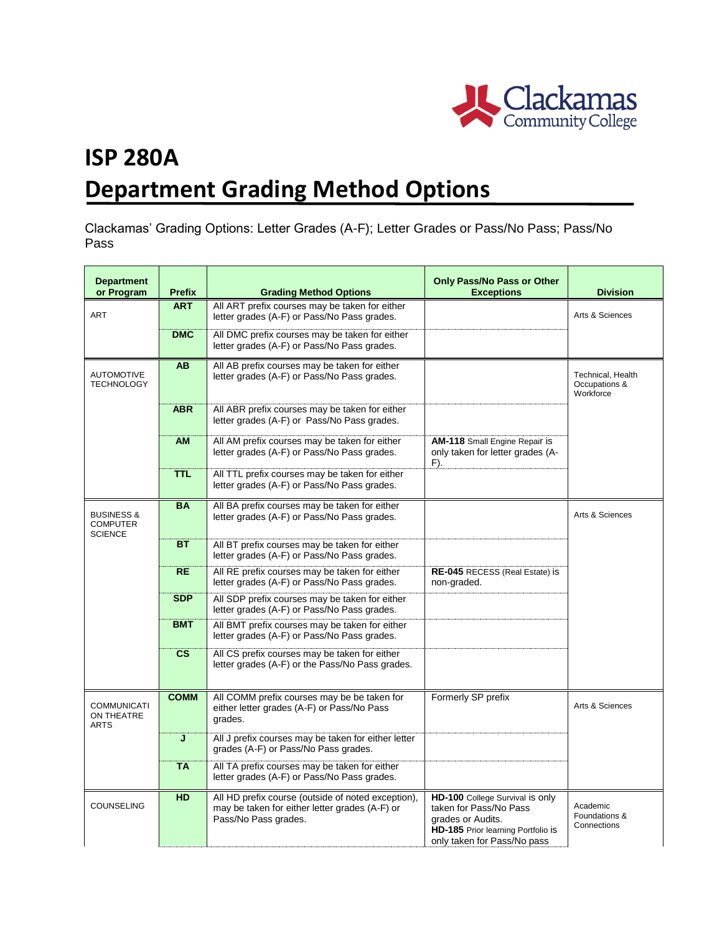

## **ISP 280A Department Grading Method Options**

Clackamas' Grading Options: Letter Grades (A-F); Letter Grades or Pass/No Pass; Pass/No Pass

| <b>Department</b><br>or Program                            | <b>Prefix</b> | <b>Grading Method Options</b>                                                                                                | <b>Only Pass/No Pass or Other</b><br><b>Exceptions</b>                                                                                              | <b>Division</b>                                 |
|------------------------------------------------------------|---------------|------------------------------------------------------------------------------------------------------------------------------|-----------------------------------------------------------------------------------------------------------------------------------------------------|-------------------------------------------------|
| <b>ART</b>                                                 | <b>ART</b>    | All ART prefix courses may be taken for either<br>letter grades (A-F) or Pass/No Pass grades.                                |                                                                                                                                                     | Arts & Sciences                                 |
|                                                            | <b>DMC</b>    | All DMC prefix courses may be taken for either<br>letter grades (A-F) or Pass/No Pass grades.                                |                                                                                                                                                     |                                                 |
| <b>AUTOMOTIVE</b><br><b>TECHNOLOGY</b>                     | <b>AB</b>     | All AB prefix courses may be taken for either<br>letter grades (A-F) or Pass/No Pass grades.                                 |                                                                                                                                                     | Technical, Health<br>Occupations &<br>Workforce |
|                                                            | <b>ABR</b>    | All ABR prefix courses may be taken for either<br>letter grades (A-F) or Pass/No Pass grades.                                |                                                                                                                                                     |                                                 |
|                                                            | <b>AM</b>     | All AM prefix courses may be taken for either<br>letter grades (A-F) or Pass/No Pass grades.                                 | AM-118 Small Engine Repair is<br>only taken for letter grades (A-<br>F).                                                                            |                                                 |
|                                                            | <b>TTL</b>    | All TTL prefix courses may be taken for either<br>letter grades (A-F) or Pass/No Pass grades.                                |                                                                                                                                                     |                                                 |
| <b>BUSINESS &amp;</b><br><b>COMPUTER</b><br><b>SCIENCE</b> | <b>BA</b>     | All BA prefix courses may be taken for either<br>letter grades (A-F) or Pass/No Pass grades.                                 |                                                                                                                                                     | Arts & Sciences                                 |
|                                                            | <b>BT</b>     | All BT prefix courses may be taken for either<br>letter grades (A-F) or Pass/No Pass grades.                                 |                                                                                                                                                     |                                                 |
|                                                            | <b>RE</b>     | All RE prefix courses may be taken for either<br>letter grades (A-F) or Pass/No Pass grades.                                 | <b>RE-045 RECESS (Real Estate) is</b><br>non-graded.                                                                                                |                                                 |
|                                                            | <b>SDP</b>    | All SDP prefix courses may be taken for either<br>letter grades (A-F) or Pass/No Pass grades.                                |                                                                                                                                                     |                                                 |
|                                                            | <b>BMT</b>    | All BMT prefix courses may be taken for either<br>letter grades (A-F) or Pass/No Pass grades.                                |                                                                                                                                                     |                                                 |
|                                                            | $\mathsf{cs}$ | All CS prefix courses may be taken for either<br>letter grades (A-F) or the Pass/No Pass grades.                             |                                                                                                                                                     |                                                 |
| <b>COMMUNICATI</b><br>ON THEATRE<br><b>ARTS</b>            | <b>COMM</b>   | All COMM prefix courses may be be taken for<br>either letter grades (A-F) or Pass/No Pass<br>grades.                         | Formerly SP prefix                                                                                                                                  | Arts & Sciences                                 |
|                                                            | J             | All J prefix courses may be taken for either letter<br>grades (A-F) or Pass/No Pass grades.                                  |                                                                                                                                                     |                                                 |
|                                                            | <b>TA</b>     | All TA prefix courses may be taken for either<br>letter grades (A-F) or Pass/No Pass grades.                                 |                                                                                                                                                     |                                                 |
| COUNSELING                                                 | <b>HD</b>     | All HD prefix course (outside of noted exception),<br>may be taken for either letter grades (A-F) or<br>Pass/No Pass grades. | HD-100 College Survival is only<br>taken for Pass/No Pass<br>grades or Audits.<br>HD-185 Prior learning Portfolio is<br>only taken for Pass/No pass | Academic<br>Foundations &<br>Connections        |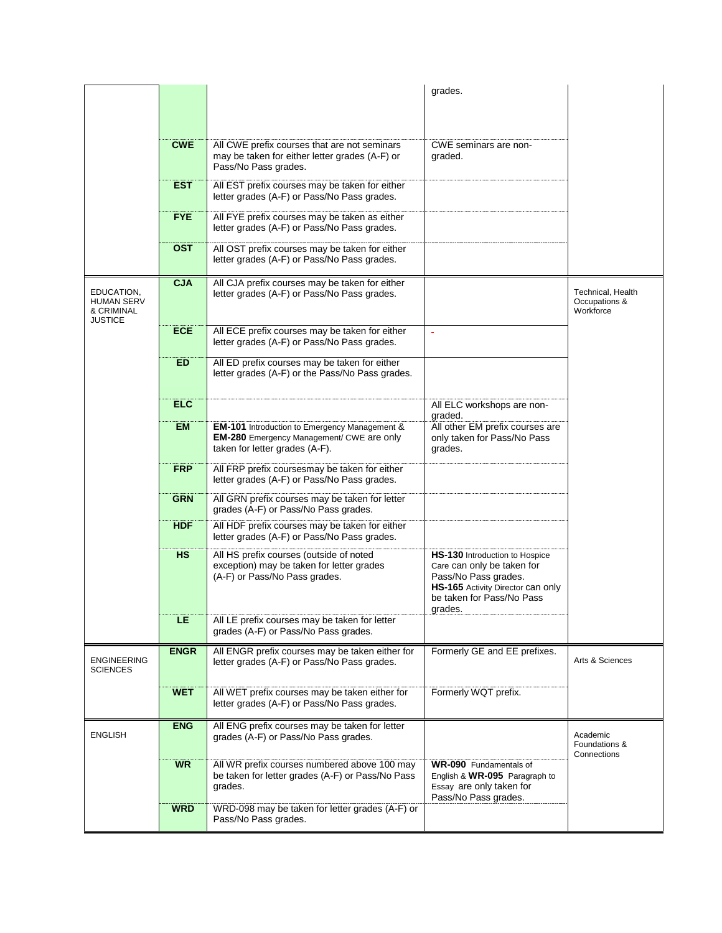|                                                          |             |                                                                                                                                     | grades.                                                                                                                                                           |                                                 |
|----------------------------------------------------------|-------------|-------------------------------------------------------------------------------------------------------------------------------------|-------------------------------------------------------------------------------------------------------------------------------------------------------------------|-------------------------------------------------|
|                                                          |             |                                                                                                                                     |                                                                                                                                                                   |                                                 |
|                                                          | <b>CWE</b>  | All CWE prefix courses that are not seminars<br>may be taken for either letter grades (A-F) or<br>Pass/No Pass grades.              | CWE seminars are non-<br>graded.                                                                                                                                  |                                                 |
|                                                          | <b>EST</b>  | All EST prefix courses may be taken for either<br>letter grades (A-F) or Pass/No Pass grades.                                       |                                                                                                                                                                   |                                                 |
|                                                          | <b>FYE</b>  | All FYE prefix courses may be taken as either<br>letter grades (A-F) or Pass/No Pass grades.                                        |                                                                                                                                                                   |                                                 |
|                                                          | <b>OST</b>  | All OST prefix courses may be taken for either<br>letter grades (A-F) or Pass/No Pass grades.                                       |                                                                                                                                                                   |                                                 |
| EDUCATION,<br><b>HUMAN SERV</b><br>& CRIMINAL<br>JUSTICE | <b>CJA</b>  | All CJA prefix courses may be taken for either<br>letter grades (A-F) or Pass/No Pass grades.                                       |                                                                                                                                                                   | Technical, Health<br>Occupations &<br>Workforce |
|                                                          | <b>ECE</b>  | All ECE prefix courses may be taken for either<br>letter grades (A-F) or Pass/No Pass grades.                                       |                                                                                                                                                                   |                                                 |
|                                                          | ED.         | All ED prefix courses may be taken for either<br>letter grades (A-F) or the Pass/No Pass grades.                                    |                                                                                                                                                                   |                                                 |
|                                                          | <b>ELC</b>  |                                                                                                                                     | All ELC workshops are non-<br>graded.                                                                                                                             |                                                 |
|                                                          | <b>EM</b>   | EM-101 Introduction to Emergency Management &<br><b>EM-280</b> Emergency Management/ CWE are only<br>taken for letter grades (A-F). | All other EM prefix courses are<br>only taken for Pass/No Pass<br>grades.                                                                                         |                                                 |
|                                                          | <b>FRP</b>  | All FRP prefix coursesmay be taken for either<br>letter grades (A-F) or Pass/No Pass grades.                                        |                                                                                                                                                                   |                                                 |
|                                                          | <b>GRN</b>  | All GRN prefix courses may be taken for letter<br>grades (A-F) or Pass/No Pass grades.                                              |                                                                                                                                                                   |                                                 |
|                                                          | <b>HDF</b>  | All HDF prefix courses may be taken for either<br>letter grades (A-F) or Pass/No Pass grades.                                       |                                                                                                                                                                   |                                                 |
|                                                          | <b>HS</b>   | All HS prefix courses (outside of noted<br>exception) may be taken for letter grades<br>(A-F) or Pass/No Pass grades.               | HS-130 Introduction to Hospice<br>Care can only be taken for<br>Pass/No Pass grades.<br>HS-165 Activity Director can only<br>be taken for Pass/No Pass<br>grades. |                                                 |
|                                                          | LE          | All LE prefix courses may be taken for letter<br>grades (A-F) or Pass/No Pass grades.                                               |                                                                                                                                                                   |                                                 |
| <b>ENGINEERING</b><br><b>SCIENCES</b>                    | <b>ENGR</b> | All ENGR prefix courses may be taken either for<br>letter grades (A-F) or Pass/No Pass grades.                                      | Formerly GE and EE prefixes.                                                                                                                                      | Arts & Sciences                                 |
|                                                          | <b>WET</b>  | All WET prefix courses may be taken either for<br>letter grades (A-F) or Pass/No Pass grades.                                       | Formerly WQT prefix.                                                                                                                                              |                                                 |
| <b>ENGLISH</b>                                           | <b>ENG</b>  | All ENG prefix courses may be taken for letter<br>grades (A-F) or Pass/No Pass grades.                                              |                                                                                                                                                                   | Academic<br>Foundations &<br>Connections        |
|                                                          | <b>WR</b>   | All WR prefix courses numbered above 100 may<br>be taken for letter grades (A-F) or Pass/No Pass<br>grades.                         | <b>WR-090</b> Fundamentals of<br>English & WR-095 Paragraph to<br>Essay are only taken for<br>Pass/No Pass grades.                                                |                                                 |
|                                                          | <b>WRD</b>  | WRD-098 may be taken for letter grades (A-F) or<br>Pass/No Pass grades.                                                             |                                                                                                                                                                   |                                                 |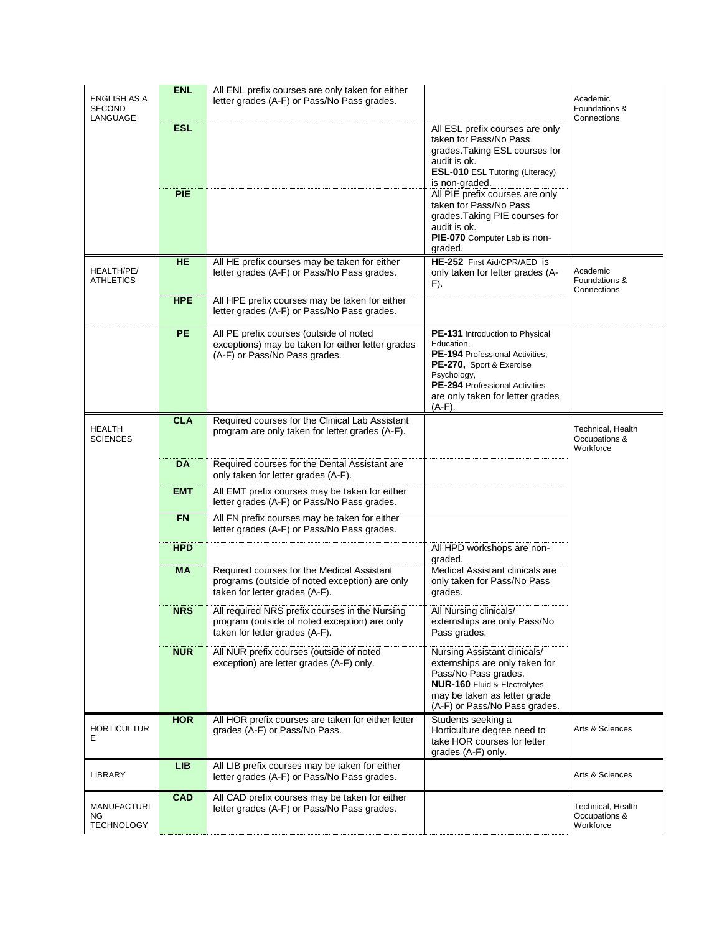| ENGLISH AS A<br>SECOND                 | <b>ENL</b> | All ENL prefix courses are only taken for either<br>letter grades (A-F) or Pass/No Pass grades.                                   |                                                                                                                                                                                                                | Academic<br>Foundations &<br>Connections        |
|----------------------------------------|------------|-----------------------------------------------------------------------------------------------------------------------------------|----------------------------------------------------------------------------------------------------------------------------------------------------------------------------------------------------------------|-------------------------------------------------|
| LANGUAGE                               | <b>ESL</b> |                                                                                                                                   | All ESL prefix courses are only<br>taken for Pass/No Pass<br>grades. Taking ESL courses for<br>audit is ok.<br><b>ESL-010 ESL Tutoring (Literacy)</b><br>is non-graded.                                        |                                                 |
|                                        | <b>PIE</b> |                                                                                                                                   | All PIE prefix courses are only<br>taken for Pass/No Pass<br>grades. Taking PIE courses for<br>audit is ok.<br>PIE-070 Computer Lab is non-<br>graded.                                                         |                                                 |
| HEALTH/PE/<br><b>ATHLETICS</b>         | HE         | All HE prefix courses may be taken for either<br>letter grades (A-F) or Pass/No Pass grades.                                      | HE-252 First Aid/CPR/AED is<br>only taken for letter grades (A-<br>F).                                                                                                                                         | Academic<br>Foundations &<br>Connections        |
|                                        | <b>HPE</b> | All HPE prefix courses may be taken for either<br>letter grades (A-F) or Pass/No Pass grades.                                     |                                                                                                                                                                                                                |                                                 |
|                                        | <b>PE</b>  | All PE prefix courses (outside of noted<br>exceptions) may be taken for either letter grades<br>(A-F) or Pass/No Pass grades.     | PE-131 Introduction to Physical<br>Education,<br>PE-194 Professional Activities,<br>PE-270, Sport & Exercise<br>Psychology,<br>PE-294 Professional Activities<br>are only taken for letter grades<br>$(A-F)$ . |                                                 |
| <b>HEALTH</b><br><b>SCIENCES</b>       | <b>CLA</b> | Required courses for the Clinical Lab Assistant<br>program are only taken for letter grades (A-F).                                |                                                                                                                                                                                                                | Technical, Health<br>Occupations &<br>Workforce |
|                                        | <b>DA</b>  | Required courses for the Dental Assistant are<br>only taken for letter grades (A-F).                                              |                                                                                                                                                                                                                |                                                 |
|                                        | <b>EMT</b> | All EMT prefix courses may be taken for either<br>letter grades (A-F) or Pass/No Pass grades.                                     |                                                                                                                                                                                                                |                                                 |
|                                        | <b>FN</b>  | All FN prefix courses may be taken for either<br>letter grades (A-F) or Pass/No Pass grades.                                      |                                                                                                                                                                                                                |                                                 |
|                                        | <b>HPD</b> |                                                                                                                                   | All HPD workshops are non-<br>graded.                                                                                                                                                                          |                                                 |
|                                        | МA         | Required courses for the Medical Assistant<br>programs (outside of noted exception) are only<br>taken for letter grades (A-F).    | Medical Assistant clinicals are<br>only taken for Pass/No Pass<br>grades.                                                                                                                                      |                                                 |
|                                        | <b>NRS</b> | All required NRS prefix courses in the Nursing<br>program (outside of noted exception) are only<br>taken for letter grades (A-F). | All Nursing clinicals/<br>externships are only Pass/No<br>Pass grades.                                                                                                                                         |                                                 |
|                                        | <b>NUR</b> | All NUR prefix courses (outside of noted<br>exception) are letter grades (A-F) only.                                              | Nursing Assistant clinicals/<br>externships are only taken for<br>Pass/No Pass grades.<br><b>NUR-160 Fluid &amp; Electrolytes</b><br>may be taken as letter grade<br>(A-F) or Pass/No Pass grades.             |                                                 |
| <b>HORTICULTUR</b><br>Е                | <b>HOR</b> | All HOR prefix courses are taken for either letter<br>grades (A-F) or Pass/No Pass.                                               | Students seeking a<br>Horticulture degree need to<br>take HOR courses for letter<br>grades (A-F) only.                                                                                                         | Arts & Sciences                                 |
| LIBRARY                                | <b>LIB</b> | All LIB prefix courses may be taken for either<br>letter grades (A-F) or Pass/No Pass grades.                                     |                                                                                                                                                                                                                | Arts & Sciences                                 |
| MANUFACTURI<br>ΝG<br><b>TECHNOLOGY</b> | <b>CAD</b> | All CAD prefix courses may be taken for either<br>letter grades (A-F) or Pass/No Pass grades.                                     |                                                                                                                                                                                                                | Technical, Health<br>Occupations &<br>Workforce |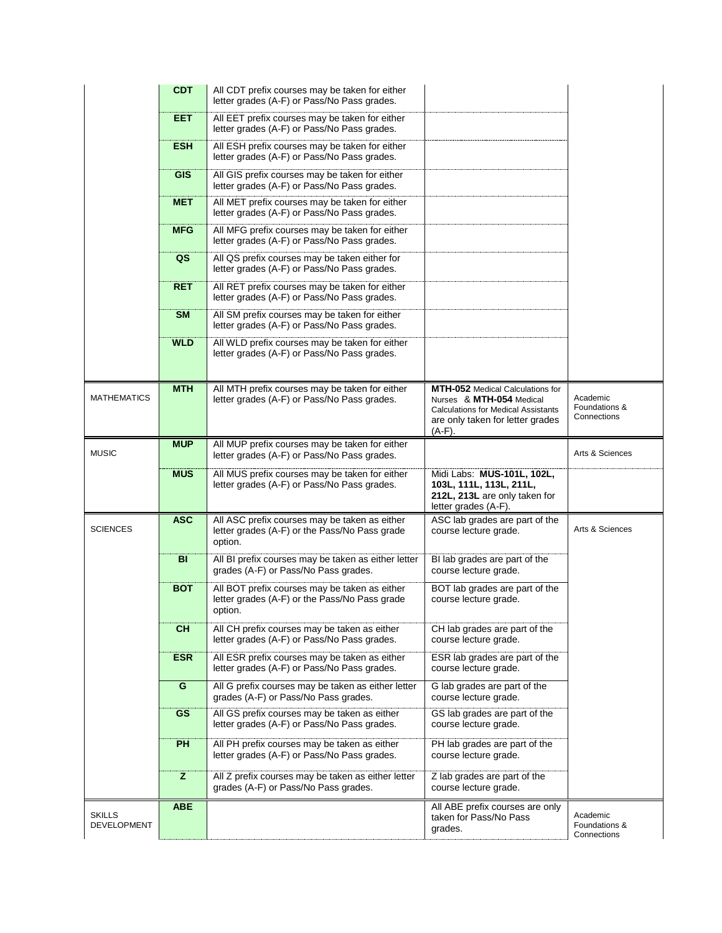|                              | <b>CDT</b> | All CDT prefix courses may be taken for either<br>letter grades (A-F) or Pass/No Pass grades.             |                                                                                                                                                                    |                                          |
|------------------------------|------------|-----------------------------------------------------------------------------------------------------------|--------------------------------------------------------------------------------------------------------------------------------------------------------------------|------------------------------------------|
|                              | EET        | All EET prefix courses may be taken for either<br>letter grades (A-F) or Pass/No Pass grades.             |                                                                                                                                                                    |                                          |
|                              | <b>ESH</b> | All ESH prefix courses may be taken for either<br>letter grades (A-F) or Pass/No Pass grades.             |                                                                                                                                                                    |                                          |
|                              | <b>GIS</b> | All GIS prefix courses may be taken for either<br>letter grades (A-F) or Pass/No Pass grades.             |                                                                                                                                                                    |                                          |
|                              | <b>MET</b> | All MET prefix courses may be taken for either<br>letter grades (A-F) or Pass/No Pass grades.             |                                                                                                                                                                    |                                          |
|                              | <b>MFG</b> | All MFG prefix courses may be taken for either<br>letter grades (A-F) or Pass/No Pass grades.             |                                                                                                                                                                    |                                          |
|                              | QS         | All QS prefix courses may be taken either for<br>letter grades (A-F) or Pass/No Pass grades.              |                                                                                                                                                                    |                                          |
|                              | <b>RET</b> | All RET prefix courses may be taken for either<br>letter grades (A-F) or Pass/No Pass grades.             |                                                                                                                                                                    |                                          |
|                              | <b>SM</b>  | All SM prefix courses may be taken for either<br>letter grades (A-F) or Pass/No Pass grades.              |                                                                                                                                                                    |                                          |
|                              | <b>WLD</b> | All WLD prefix courses may be taken for either<br>letter grades (A-F) or Pass/No Pass grades.             |                                                                                                                                                                    |                                          |
| <b>MATHEMATICS</b>           | <b>MTH</b> | All MTH prefix courses may be taken for either<br>letter grades (A-F) or Pass/No Pass grades.             | <b>MTH-052</b> Medical Calculations for<br>Nurses & MTH-054 Medical<br><b>Calculations for Medical Assistants</b><br>are only taken for letter grades<br>$(A-F)$ . | Academic<br>Foundations &<br>Connections |
| <b>MUSIC</b>                 | <b>MUP</b> | All MUP prefix courses may be taken for either<br>letter grades (A-F) or Pass/No Pass grades.             |                                                                                                                                                                    | Arts & Sciences                          |
|                              | <b>MUS</b> | All MUS prefix courses may be taken for either<br>letter grades (A-F) or Pass/No Pass grades.             | Midi Labs: MUS-101L, 102L,<br>103L, 111L, 113L, 211L,<br>212L, 213L are only taken for<br>letter grades (A-F).                                                     |                                          |
| <b>SCIENCES</b>              | <b>ASC</b> | All ASC prefix courses may be taken as either<br>letter grades (A-F) or the Pass/No Pass grade<br>option. | ASC lab grades are part of the<br>course lecture grade.                                                                                                            | Arts & Sciences                          |
|                              | <b>BI</b>  | All BI prefix courses may be taken as either letter<br>grades (A-F) or Pass/No Pass grades.               | BI lab grades are part of the<br>course lecture grade.                                                                                                             |                                          |
|                              | <b>BOT</b> | All BOT prefix courses may be taken as either<br>letter grades (A-F) or the Pass/No Pass grade<br>option. | BOT lab grades are part of the<br>course lecture grade.                                                                                                            |                                          |
|                              | <b>CH</b>  | All CH prefix courses may be taken as either<br>letter grades (A-F) or Pass/No Pass grades.               | CH lab grades are part of the<br>course lecture grade.                                                                                                             |                                          |
|                              | <b>ESR</b> | All ESR prefix courses may be taken as either<br>letter grades (A-F) or Pass/No Pass grades.              | ESR lab grades are part of the<br>course lecture grade.                                                                                                            |                                          |
|                              | G          | All G prefix courses may be taken as either letter<br>grades (A-F) or Pass/No Pass grades.                | G lab grades are part of the<br>course lecture grade.                                                                                                              |                                          |
|                              | <b>GS</b>  | All GS prefix courses may be taken as either<br>letter grades (A-F) or Pass/No Pass grades.               | GS lab grades are part of the<br>course lecture grade.                                                                                                             |                                          |
|                              | <b>PH</b>  | All PH prefix courses may be taken as either<br>letter grades (A-F) or Pass/No Pass grades.               | PH lab grades are part of the<br>course lecture grade.                                                                                                             |                                          |
|                              | z          | All Z prefix courses may be taken as either letter<br>grades (A-F) or Pass/No Pass grades.                | Z lab grades are part of the<br>course lecture grade.                                                                                                              |                                          |
| <b>SKILLS</b><br>DEVELOPMENT | <b>ABE</b> |                                                                                                           | All ABE prefix courses are only<br>taken for Pass/No Pass<br>grades.                                                                                               | Academic<br>Foundations &<br>Connections |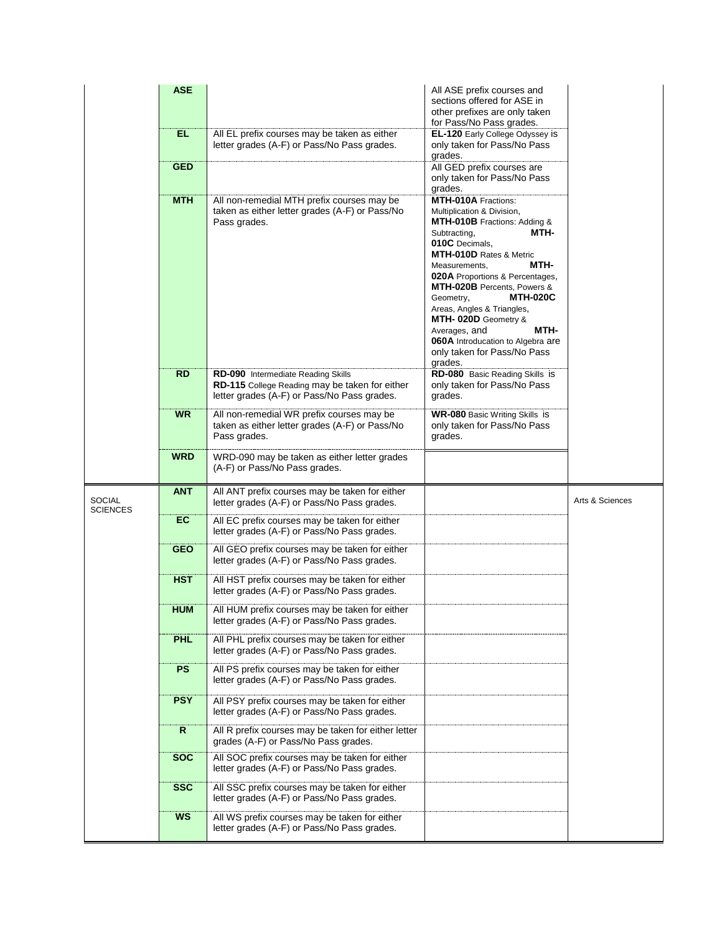|                                  | <b>ASE</b>   |                                                                                                                                     | All ASE prefix courses and<br>sections offered for ASE in<br>other prefixes are only taken<br>for Pass/No Pass grades.                                                                                                                                                                                                                                                                                                                                |                 |
|----------------------------------|--------------|-------------------------------------------------------------------------------------------------------------------------------------|-------------------------------------------------------------------------------------------------------------------------------------------------------------------------------------------------------------------------------------------------------------------------------------------------------------------------------------------------------------------------------------------------------------------------------------------------------|-----------------|
|                                  | EL.          | All EL prefix courses may be taken as either<br>letter grades (A-F) or Pass/No Pass grades.                                         | EL-120 Early College Odyssey is<br>only taken for Pass/No Pass<br>grades.                                                                                                                                                                                                                                                                                                                                                                             |                 |
|                                  | <b>GED</b>   |                                                                                                                                     | All GED prefix courses are<br>only taken for Pass/No Pass<br>grades.                                                                                                                                                                                                                                                                                                                                                                                  |                 |
|                                  | <b>MTH</b>   | All non-remedial MTH prefix courses may be<br>taken as either letter grades (A-F) or Pass/No<br>Pass grades.                        | <b>MTH-010A</b> Fractions:<br>Multiplication & Division,<br>MTH-010B Fractions: Adding &<br>MTH-<br>Subtracting,<br>010C Decimals,<br>MTH-010D Rates & Metric<br>MTH-<br>Measurements,<br>020A Proportions & Percentages,<br>MTH-020B Percents, Powers &<br><b>MTH-020C</b><br>Geometry,<br>Areas, Angles & Triangles,<br>MTH-020D Geometry &<br>Averages, and<br>MTH-<br>060A Introducation to Algebra are<br>only taken for Pass/No Pass<br>grades. |                 |
|                                  | <b>RD</b>    | RD-090 Intermediate Reading Skills<br>RD-115 College Reading may be taken for either<br>letter grades (A-F) or Pass/No Pass grades. | RD-080 Basic Reading Skills is<br>only taken for Pass/No Pass<br>grades.                                                                                                                                                                                                                                                                                                                                                                              |                 |
|                                  | <b>WR</b>    | All non-remedial WR prefix courses may be<br>taken as either letter grades (A-F) or Pass/No<br>Pass grades.                         | <b>WR-080 Basic Writing Skills is</b><br>only taken for Pass/No Pass<br>grades.                                                                                                                                                                                                                                                                                                                                                                       |                 |
|                                  | <b>WRD</b>   | WRD-090 may be taken as either letter grades<br>(A-F) or Pass/No Pass grades.                                                       |                                                                                                                                                                                                                                                                                                                                                                                                                                                       |                 |
| <b>SOCIAL</b><br><b>SCIENCES</b> | <b>ANT</b>   | All ANT prefix courses may be taken for either<br>letter grades (A-F) or Pass/No Pass grades.                                       |                                                                                                                                                                                                                                                                                                                                                                                                                                                       | Arts & Sciences |
|                                  | EC           | All EC prefix courses may be taken for either<br>letter grades (A-F) or Pass/No Pass grades.                                        |                                                                                                                                                                                                                                                                                                                                                                                                                                                       |                 |
|                                  | <b>GEO</b>   | All GEO prefix courses may be taken for either<br>letter grades (A-F) or Pass/No Pass grades.                                       |                                                                                                                                                                                                                                                                                                                                                                                                                                                       |                 |
|                                  | <b>HST</b>   | All HST prefix courses may be taken for either<br>letter grades (A-F) or Pass/No Pass grades.                                       |                                                                                                                                                                                                                                                                                                                                                                                                                                                       |                 |
|                                  | <b>HUM</b>   | All HUM prefix courses may be taken for either<br>letter grades (A-F) or Pass/No Pass grades.                                       |                                                                                                                                                                                                                                                                                                                                                                                                                                                       |                 |
|                                  | <b>PHL</b>   | All PHL prefix courses may be taken for either<br>letter grades (A-F) or Pass/No Pass grades.                                       |                                                                                                                                                                                                                                                                                                                                                                                                                                                       |                 |
|                                  | <b>PS</b>    | All PS prefix courses may be taken for either<br>letter grades (A-F) or Pass/No Pass grades.                                        |                                                                                                                                                                                                                                                                                                                                                                                                                                                       |                 |
|                                  | <b>PSY</b>   | All PSY prefix courses may be taken for either<br>letter grades (A-F) or Pass/No Pass grades.                                       |                                                                                                                                                                                                                                                                                                                                                                                                                                                       |                 |
|                                  | $\mathsf{R}$ | All R prefix courses may be taken for either letter<br>grades (A-F) or Pass/No Pass grades.                                         |                                                                                                                                                                                                                                                                                                                                                                                                                                                       |                 |
|                                  | <b>SOC</b>   | All SOC prefix courses may be taken for either<br>letter grades (A-F) or Pass/No Pass grades.                                       |                                                                                                                                                                                                                                                                                                                                                                                                                                                       |                 |
|                                  | <b>SSC</b>   | All SSC prefix courses may be taken for either<br>letter grades (A-F) or Pass/No Pass grades.                                       |                                                                                                                                                                                                                                                                                                                                                                                                                                                       |                 |
|                                  | <b>WS</b>    | All WS prefix courses may be taken for either<br>letter grades (A-F) or Pass/No Pass grades.                                        |                                                                                                                                                                                                                                                                                                                                                                                                                                                       |                 |